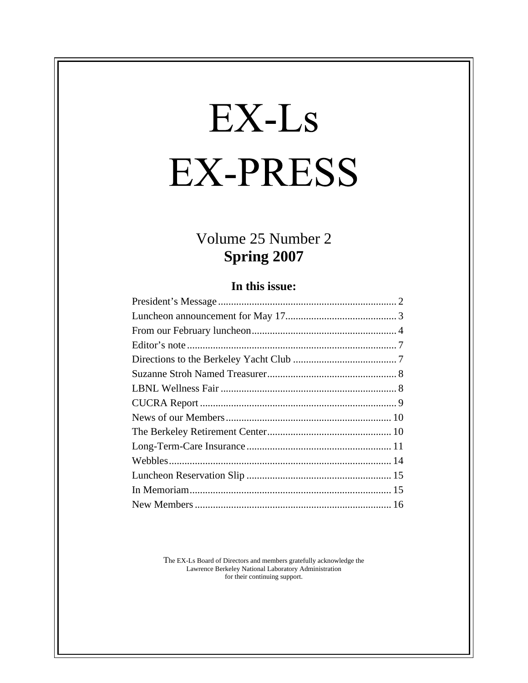# EX-Ls **EX-PRESS**

## Volume 25 Number 2 **Spring 2007**

#### **In this issue:**

The EX-Ls Board of Directors and members gratefully acknowledge the Lawrence Berkeley National Laboratory Administration for their continuing support.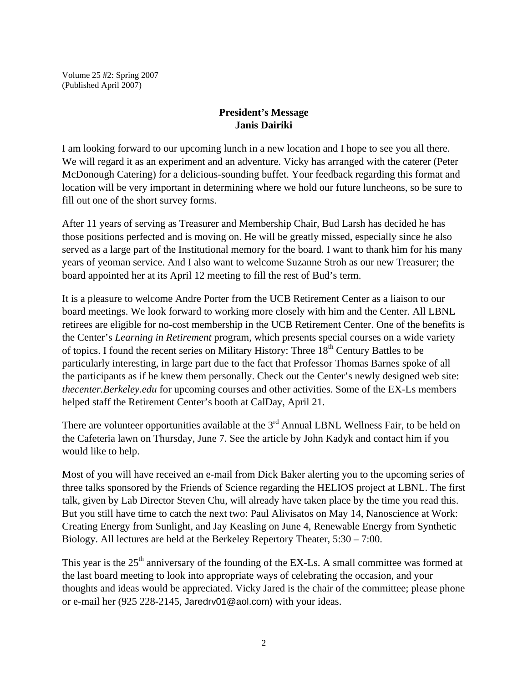Volume 25 #2: Spring 2007 (Published April 2007)

#### **President's Message Janis Dairiki**

I am looking forward to our upcoming lunch in a new location and I hope to see you all there. We will regard it as an experiment and an adventure. Vicky has arranged with the caterer (Peter McDonough Catering) for a delicious-sounding buffet. Your feedback regarding this format and location will be very important in determining where we hold our future luncheons, so be sure to fill out one of the short survey forms.

After 11 years of serving as Treasurer and Membership Chair, Bud Larsh has decided he has those positions perfected and is moving on. He will be greatly missed, especially since he also served as a large part of the Institutional memory for the board. I want to thank him for his many years of yeoman service. And I also want to welcome Suzanne Stroh as our new Treasurer; the board appointed her at its April 12 meeting to fill the rest of Bud's term.

It is a pleasure to welcome Andre Porter from the UCB Retirement Center as a liaison to our board meetings. We look forward to working more closely with him and the Center. All LBNL retirees are eligible for no-cost membership in the UCB Retirement Center. One of the benefits is the Center's *Learning in Retirement* program, which presents special courses on a wide variety of topics. I found the recent series on Military History: Three  $18<sup>th</sup>$  Century Battles to be particularly interesting, in large part due to the fact that Professor Thomas Barnes spoke of all the participants as if he knew them personally. Check out the Center's newly designed web site: *thecenter.Berkeley.edu* for upcoming courses and other activities. Some of the EX-Ls members helped staff the Retirement Center's booth at CalDay, April 21.

There are volunteer opportunities available at the  $3<sup>rd</sup>$  Annual LBNL Wellness Fair, to be held on the Cafeteria lawn on Thursday, June 7. See the article by John Kadyk and contact him if you would like to help.

Most of you will have received an e-mail from Dick Baker alerting you to the upcoming series of three talks sponsored by the Friends of Science regarding the HELIOS project at LBNL. The first talk, given by Lab Director Steven Chu, will already have taken place by the time you read this. But you still have time to catch the next two: Paul Alivisatos on May 14, Nanoscience at Work: Creating Energy from Sunlight, and Jay Keasling on June 4, Renewable Energy from Synthetic Biology. All lectures are held at the Berkeley Repertory Theater, 5:30 – 7:00.

This year is the  $25<sup>th</sup>$  anniversary of the founding of the EX-Ls. A small committee was formed at the last board meeting to look into appropriate ways of celebrating the occasion, and your thoughts and ideas would be appreciated. Vicky Jared is the chair of the committee; please phone or e-mail her (925 228-2145, Jaredrv01@aol.com) with your ideas.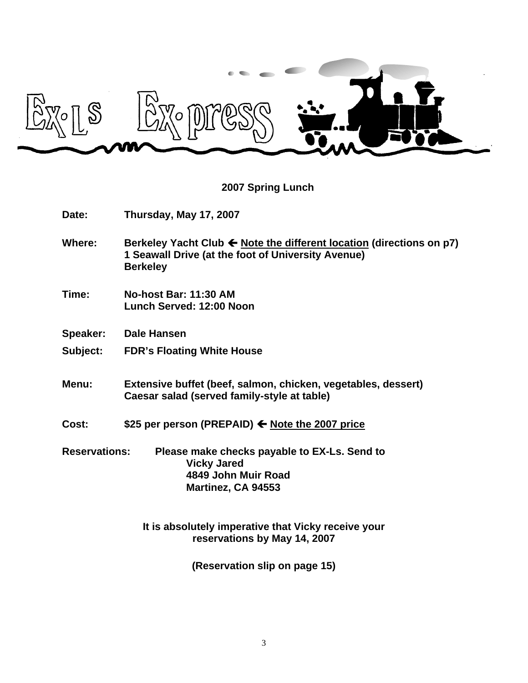

**2007 Spring Lunch**

| Date:                | Thursday, May 17, 2007                                                                                                                        |  |
|----------------------|-----------------------------------------------------------------------------------------------------------------------------------------------|--|
| <b>Where:</b>        | Berkeley Yacht Club ← Note the different location (directions on p7)<br>1 Seawall Drive (at the foot of University Avenue)<br><b>Berkeley</b> |  |
| Time:                | No-host Bar: 11:30 AM<br>Lunch Served: 12:00 Noon                                                                                             |  |
| <b>Speaker:</b>      | Dale Hansen                                                                                                                                   |  |
| Subject:             | <b>FDR's Floating White House</b>                                                                                                             |  |
| Menu:                | Extensive buffet (beef, salmon, chicken, vegetables, dessert)<br>Caesar salad (served family-style at table)                                  |  |
| Cost:                | \$25 per person (PREPAID) ← Note the 2007 price                                                                                               |  |
| <b>Reservations:</b> | Please make checks payable to EX-Ls. Send to<br><b>Vicky Jared</b><br>4849 John Muir Road<br>Martinez, CA 94553                               |  |
|                      | It is absolutely imperative that Vicky receive your<br>reservations by May 14, 2007                                                           |  |

**(Reservation slip on page 15)**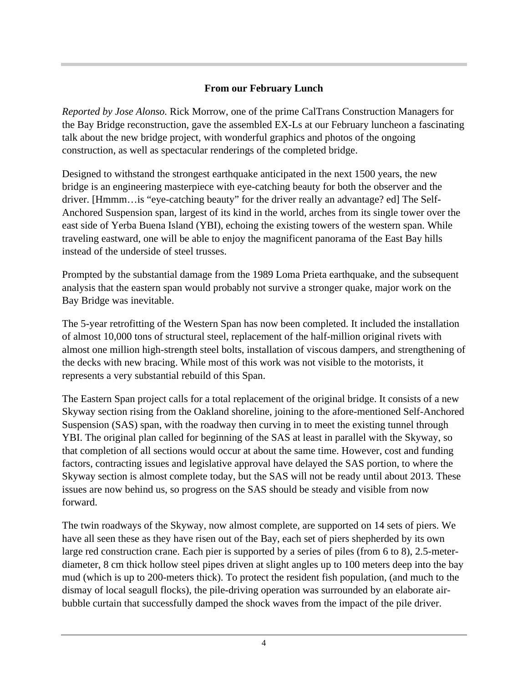#### **From our February Lunch**

*Reported by Jose Alonso.* Rick Morrow, one of the prime CalTrans Construction Managers for the Bay Bridge reconstruction, gave the assembled EX-Ls at our February luncheon a fascinating talk about the new bridge project, with wonderful graphics and photos of the ongoing construction, as well as spectacular renderings of the completed bridge.

Designed to withstand the strongest earthquake anticipated in the next 1500 years, the new bridge is an engineering masterpiece with eye-catching beauty for both the observer and the driver. [Hmmm…is "eye-catching beauty" for the driver really an advantage? ed] The Self- Anchored Suspension span, largest of its kind in the world, arches from its single tower over the east side of Yerba Buena Island (YBI), echoing the existing towers of the western span. While traveling eastward, one will be able to enjoy the magnificent panorama of the East Bay hills instead of the underside of steel trusses.

Prompted by the substantial damage from the 1989 Loma Prieta earthquake, and the subsequent analysis that the eastern span would probably not survive a stronger quake, major work on the Bay Bridge was inevitable.

The 5-year retrofitting of the Western Span has now been completed. It included the installation of almost 10,000 tons of structural steel, replacement of the half-million original rivets with almost one million high-strength steel bolts, installation of viscous dampers, and strengthening of the decks with new bracing. While most of this work was not visible to the motorists, it represents a very substantial rebuild of this Span.

The Eastern Span project calls for a total replacement of the original bridge. It consists of a new Skyway section rising from the Oakland shoreline, joining to the afore-mentioned Self-Anchored Suspension (SAS) span, with the roadway then curving in to meet the existing tunnel through YBI. The original plan called for beginning of the SAS at least in parallel with the Skyway, so that completion of all sections would occur at about the same time. However, cost and funding factors, contracting issues and legislative approval have delayed the SAS portion, to where the Skyway section is almost complete today, but the SAS will not be ready until about 2013. These issues are now behind us, so progress on the SAS should be steady and visible from now forward.

The twin roadways of the Skyway, now almost complete, are supported on 14 sets of piers. We have all seen these as they have risen out of the Bay, each set of piers shepherded by its own large red construction crane. Each pier is supported by a series of piles (from 6 to 8), 2.5-meter diameter, 8 cm thick hollow steel pipes driven at slight angles up to 100 meters deep into the bay mud (which is up to 200-meters thick). To protect the resident fish population, (and much to the dismay of local seagull flocks), the pile-driving operation was surrounded by an elaborate air bubble curtain that successfully damped the shock waves from the impact of the pile driver.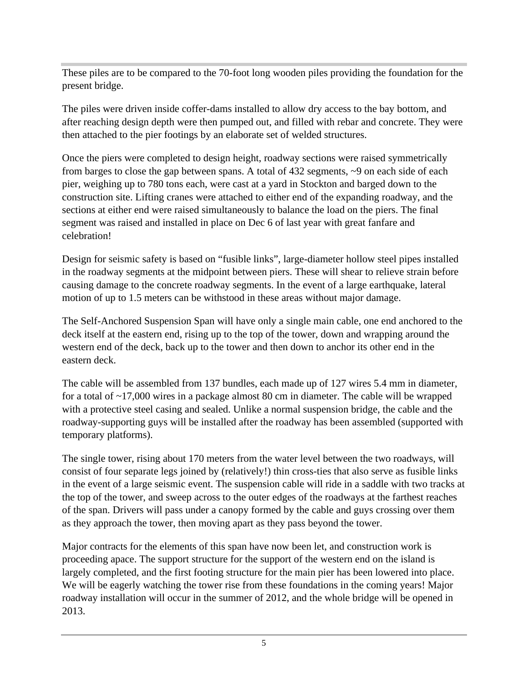These piles are to be compared to the 70-foot long wooden piles providing the foundation for the present bridge.

The piles were driven inside coffer-dams installed to allow dry access to the bay bottom, and after reaching design depth were then pumped out, and filled with rebar and concrete. They were then attached to the pier footings by an elaborate set of welded structures.

Once the piers were completed to design height, roadway sections were raised symmetrically from barges to close the gap between spans. A total of 432 segments, ~9 on each side of each pier, weighing up to 780 tons each, were cast at a yard in Stockton and barged down to the construction site. Lifting cranes were attached to either end of the expanding roadway, and the sections at either end were raised simultaneously to balance the load on the piers. The final segment was raised and installed in place on Dec 6 of last year with great fanfare and celebration!

Design for seismic safety is based on "fusible links", large-diameter hollow steel pipes installed in the roadway segments at the midpoint between piers. These will shear to relieve strain before causing damage to the concrete roadway segments. In the event of a large earthquake, lateral motion of up to 1.5 meters can be withstood in these areas without major damage.

The Self-Anchored Suspension Span will have only a single main cable, one end anchored to the deck itself at the eastern end, rising up to the top of the tower, down and wrapping around the western end of the deck, back up to the tower and then down to anchor its other end in the eastern deck.

The cable will be assembled from 137 bundles, each made up of 127 wires 5.4 mm in diameter, for a total of ~17,000 wires in a package almost 80 cm in diameter. The cable will be wrapped with a protective steel casing and sealed. Unlike a normal suspension bridge, the cable and the roadway-supporting guys will be installed after the roadway has been assembled (supported with temporary platforms).

The single tower, rising about 170 meters from the water level between the two roadways, will consist of four separate legs joined by (relatively!) thin cross-ties that also serve as fusible links in the event of a large seismic event. The suspension cable will ride in a saddle with two tracks at the top of the tower, and sweep across to the outer edges of the roadways at the farthest reaches of the span. Drivers will pass under a canopy formed by the cable and guys crossing over them as they approach the tower, then moving apart as they pass beyond the tower.

Major contracts for the elements of this span have now been let, and construction work is proceeding apace. The support structure for the support of the western end on the island is largely completed, and the first footing structure for the main pier has been lowered into place. We will be eagerly watching the tower rise from these foundations in the coming years! Major roadway installation will occur in the summer of 2012, and the whole bridge will be opened in 2013.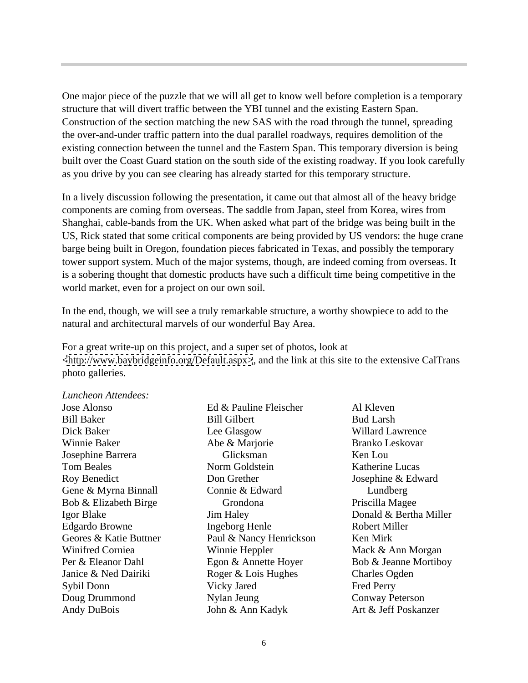One major piece of the puzzle that we will all get to know well before completion is a temporary structure that will divert traffic between the YBI tunnel and the existing Eastern Span. Construction of the section matching the new SAS with the road through the tunnel, spreading the over-and-under traffic pattern into the dual parallel roadways, requires demolition of the existing connection between the tunnel and the Eastern Span. This temporary diversion is being built over the Coast Guard station on the south side of the existing roadway. If you look carefully as you drive by you can see clearing has already started for this temporary structure.

In a lively discussion following the presentation, it came out that almost all of the heavy bridge components are coming from overseas. The saddle from Japan, steel from Korea, wires from Shanghai, cable-bands from the UK. When asked what part of the bridge was being built in the US, Rick stated that some critical components are being provided by US vendors: the huge crane barge being built in Oregon, foundation pieces fabricated in Texas, and possibly the temporary tower support system. Much of the major systems, though, are indeed coming from overseas. It is a sobering thought that domestic products have such a difficult time being competitive in the world market, even for a project on our own soil.

In the end, though, we will see a truly remarkable structure, a worthy showpiece to add to the natural and architectural marvels of our wonderful Bay Area.

For a great write-up on this project, and a super set of photos, look at [<http://www.baybridgeinfo.org/Default.aspx>](http://www.baybridgeinfo.org/Default.aspx>), and the link at this site to the extensive CalTrans photo galleries.

*Luncheon Attendees:* 

Andy DuBois John & Ann Kadyk

Bill Baker Bill Gilbert Bud Larsh Dick Baker **Example 2** Lee Glasgow **Example 2 Willard Lawrence** Willard Lawrence Winnie Baker Abe & Marjorie Branko Leskovar Josephine Barrera Tom Beales **The Solution School** Norm Goldstein **Example 3 Katherine Lucas Katherine Lucas** Roy Benedict Don Grether Josephine & Edward Gene & Myrna Binnall Connie & Edward Lundberg Bob & Elizabeth Birge Igor Blake South Barry Sim Haley Show Bonald & Bertha Miller Edgardo Browne **Edgardo Browne Edgardo Browne Edgardo Browne Edgardo Browne Edgardo Browne Edgardo Browne** Geores & Katie Buttner Paul & Nancy Henrickson Ken Mirk Winifred Corniea **Winnie Heppler** Mack & Ann Morgan Per & Eleanor Dahl Egon & Annette Hoyer Bob & Jeanne Mortiboy Janice & Ned Dairiki Roger & Lois Hughes Sybil Donn Doug Drummond Mylan Jeung Conway Peterson Ed & Pauline Fleischer Bill Gilbert Lee Glasgow Willard Lawrence Abe & Marjorie Norm Goldstein **Katherine Lucas** Connie & Edward **Jim Haley Consults Consults Consults Consults Consults Consults Consults Consults Consults Consults Consults Consults Consults Consults Consults Consults Consults Consults Consults Consults Consults Consults Consults Cons** Ingeborg Henle Paul & Nancy Henrickson Ken Mirk Winnie Heppler Mack & Ann Morgan Vicky Jared Nylan Jeung John & Ann Kadyk

Jose Alonso Glicksman Ken Lou Grondona Al Kleven Bud Larsh Willard Lawrence Branko Leskovar Ken Lou Katherine Lucas Lundberg and the state of the state of the state of the state of the state of the state of the state of the state of the state of the state of the state of the state of the state of the state of the state of the state of t Priscilla Magee Donald & Bertha Miller Robert Miller Ken Mirk Mack & Ann Morgan Bob & Jeanne Mortiboy Charles Ogden Fred Perry Conway Peterson Art & Jeff Poskanzer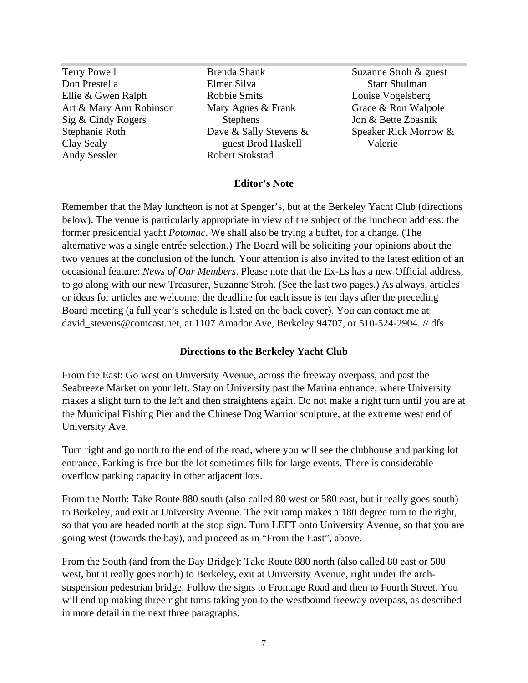Terry Powell Suzanne Stroh & guest Don Prestella Ellie & Gwen Ralph **Robbie Smits** Louise Vogelsberg Art & Mary Ann Robinson Mary Agnes & Frank Grace & Ron Walpole Sig & Cindy Rogers Stephens 5 Stephens 5 Jon & Bette Zbasnik Stephanie Roth **Subset Clubset Clubset Clubset Clubset Clubset Clubset Clubset Clubset Clubset Clubset Clubset C** Clay Sealy **Example 2** Sealy **Example 2** Sealy **Clay Sealy Clay Sealy Clay Sealy Clay Sealy Clay Sealy Clay Sealy Clay Sealy Clay Sealy Clay Sealy Clay Sealy Clay Sealy Clay Sealy Clay Sealy Clay** 

Andy Sessler Mary Agnes & Frank Grace & Ron Walpole Dave & Sally Stevens & guest Brod Haskell Robert Stokstad

Brenda Shank Suzanne Stroh & guest Elmer Silva **Elmer** Silva Starr Shulman Robbie Smits **Example 2018** Louise Vogelsberg Stephens **Stephens** Jon & Bette Zbasnik Starr Shulman Louise Vogelsberg Grace & Ron Walpole Jon & Bette Zbasnik Speaker Rick Morrow & Valerie

#### **Editor's Note**

Remember that the May luncheon is not at Spenger's, but at the Berkeley Yacht Club (directions below). The venue is particularly appropriate in view of the subject of the luncheon address: the former presidential yacht *Potomac*. We shall also be trying a buffet, for a change. (The alternative was a single entrée selection.) The Board will be soliciting your opinions about the two venues at the conclusion of the lunch. Your attention is also invited to the latest edition of an occasional feature: *News of Our Members*. Please note that the Ex-Ls has a new Official address, to go along with our new Treasurer, Suzanne Stroh. (See the last two pages.) As always, articles or ideas for articles are welcome; the deadline for each issue is ten days after the preceding Board meeting (a full year's schedule is listed on the back cover). You can contact me at david stevens@comcast.net, at 1107 Amador Ave, Berkeley 94707, or 510-524-2904. // dfs

#### **Directions to the Berkeley Yacht Club**

From the East: Go west on University Avenue, across the freeway overpass, and past the Seabreeze Market on your left. Stay on University past the Marina entrance, where University makes a slight turn to the left and then straightens again. Do not make a right turn until you are at the Municipal Fishing Pier and the Chinese Dog Warrior sculpture, at the extreme west end of University Ave.

Turn right and go north to the end of the road, where you will see the clubhouse and parking lot entrance. Parking is free but the lot sometimes fills for large events. There is considerable overflow parking capacity in other adjacent lots.

From the North: Take Route 880 south (also called 80 west or 580 east, but it really goes south) to Berkeley, and exit at University Avenue. The exit ramp makes a 180 degree turn to the right, so that you are headed north at the stop sign. Turn LEFT onto University Avenue, so that you are going west (towards the bay), and proceed as in "From the East", above.

From the South (and from the Bay Bridge): Take Route 880 north (also called 80 east or 580 west, but it really goes north) to Berkeley, exit at University Avenue, right under the arch suspension pedestrian bridge. Follow the signs to Frontage Road and then to Fourth Street. You will end up making three right turns taking you to the westbound freeway overpass, as described in more detail in the next three paragraphs.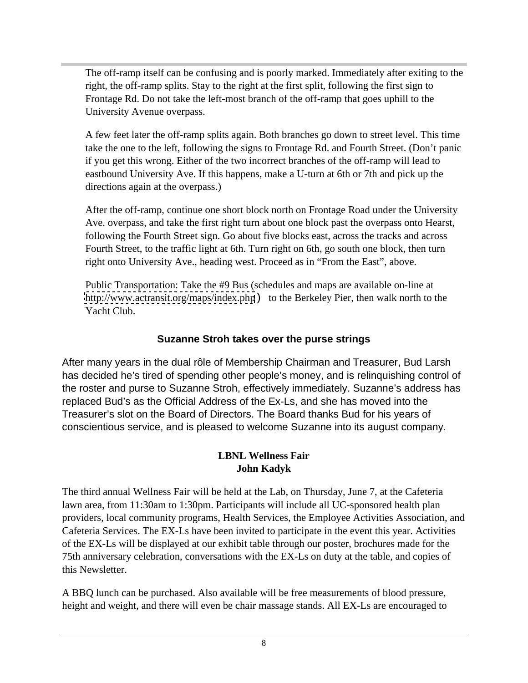The off-ramp itself can be confusing and is poorly marked. Immediately after exiting to the right, the off-ramp splits. Stay to the right at the first split, following the first sign to Frontage Rd. Do not take the left-most branch of the off-ramp that goes uphill to the University Avenue overpass.

A few feet later the off-ramp splits again. Both branches go down to street level. This time take the one to the left, following the signs to Frontage Rd. and Fourth Street. (Don't panic if you get this wrong. Either of the two incorrect branches of the off-ramp will lead to eastbound University Ave. If this happens, make a U-turn at 6th or 7th and pick up the directions again at the overpass.)

After the off-ramp, continue one short block north on Frontage Road under the University Ave. overpass, and take the first right turn about one block past the overpass onto Hearst, following the Fourth Street sign. Go about five blocks east, across the tracks and across Fourth Street, to the traffic light at 6th. Turn right on 6th, go south one block, then turn right onto University Ave., heading west. Proceed as in "From the East", above.

Public Transportation: Take the #9 Bus (schedules and maps are available on-line at <http://www.actransit.org/maps/index.php>) to the Berkeley Pier, then walk north to the Yacht Club.

#### **Suzanne Stroh takes over the purse strings**

After many years in the dual rôle of Membership Chairman and Treasurer, Bud Larsh has decided he's tired of spending other people's money, and is relinquishing control of the roster and purse to Suzanne Stroh, effectively immediately. Suzanne's address has replaced Bud's as the Official Address of the Ex-Ls, and she has moved into the Treasurer's slot on the Board of Directors. The Board thanks Bud for his years of conscientious service, and is pleased to welcome Suzanne into its august company.

#### **LBNL Wellness Fair John Kadyk**

The third annual Wellness Fair will be held at the Lab, on Thursday, June 7, at the Cafeteria lawn area, from 11:30am to 1:30pm. Participants will include all UC-sponsored health plan providers, local community programs, Health Services, the Employee Activities Association, and Cafeteria Services. The EX-Ls have been invited to participate in the event this year. Activities of the EX-Ls will be displayed at our exhibit table through our poster, brochures made for the 75th anniversary celebration, conversations with the EX-Ls on duty at the table, and copies of this Newsletter.

A BBQ lunch can be purchased. Also available will be free measurements of blood pressure, height and weight, and there will even be chair massage stands. All EX-Ls are encouraged to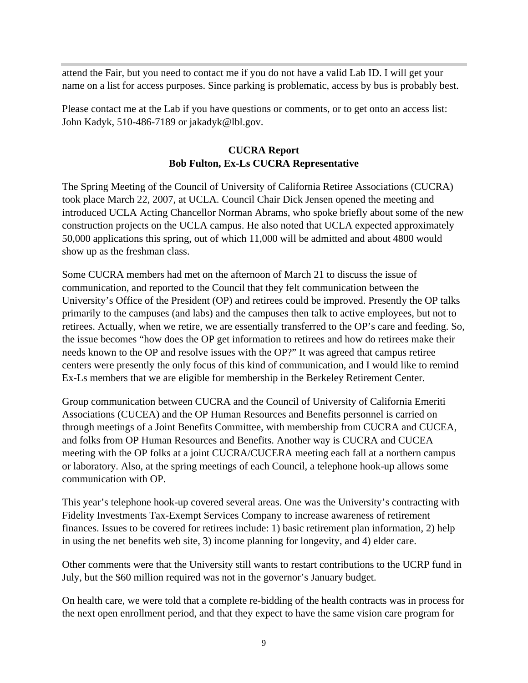attend the Fair, but you need to contact me if you do not have a valid Lab ID. I will get your name on a list for access purposes. Since parking is problematic, access by bus is probably best.

Please contact me at the Lab if you have questions or comments, or to get onto an access list: John Kadyk, 510-486-7189 or jakadyk@lbl.gov.

#### **CUCRA Report Bob Fulton, Ex-Ls CUCRA Representative**

The Spring Meeting of the Council of University of California Retiree Associations (CUCRA) took place March 22, 2007, at UCLA. Council Chair Dick Jensen opened the meeting and introduced UCLA Acting Chancellor Norman Abrams, who spoke briefly about some of the new construction projects on the UCLA campus. He also noted that UCLA expected approximately 50,000 applications this spring, out of which 11,000 will be admitted and about 4800 would show up as the freshman class.

Some CUCRA members had met on the afternoon of March 21 to discuss the issue of communication, and reported to the Council that they felt communication between the University's Office of the President (OP) and retirees could be improved. Presently the OP talks primarily to the campuses (and labs) and the campuses then talk to active employees, but not to retirees. Actually, when we retire, we are essentially transferred to the OP's care and feeding. So, the issue becomes "how does the OP get information to retirees and how do retirees make their needs known to the OP and resolve issues with the OP?" It was agreed that campus retiree centers were presently the only focus of this kind of communication, and I would like to remind Ex-Ls members that we are eligible for membership in the Berkeley Retirement Center.

Group communication between CUCRA and the Council of University of California Emeriti Associations (CUCEA) and the OP Human Resources and Benefits personnel is carried on through meetings of a Joint Benefits Committee, with membership from CUCRA and CUCEA, and folks from OP Human Resources and Benefits. Another way is CUCRA and CUCEA meeting with the OP folks at a joint CUCRA/CUCERA meeting each fall at a northern campus or laboratory. Also, at the spring meetings of each Council, a telephone hook-up allows some communication with OP.

This year's telephone hook-up covered several areas. One was the University's contracting with Fidelity Investments Tax-Exempt Services Company to increase awareness of retirement finances. Issues to be covered for retirees include: 1) basic retirement plan information, 2) help in using the net benefits web site, 3) income planning for longevity, and 4) elder care.

Other comments were that the University still wants to restart contributions to the UCRP fund in July, but the \$60 million required was not in the governor's January budget.

On health care, we were told that a complete re-bidding of the health contracts was in process for the next open enrollment period, and that they expect to have the same vision care program for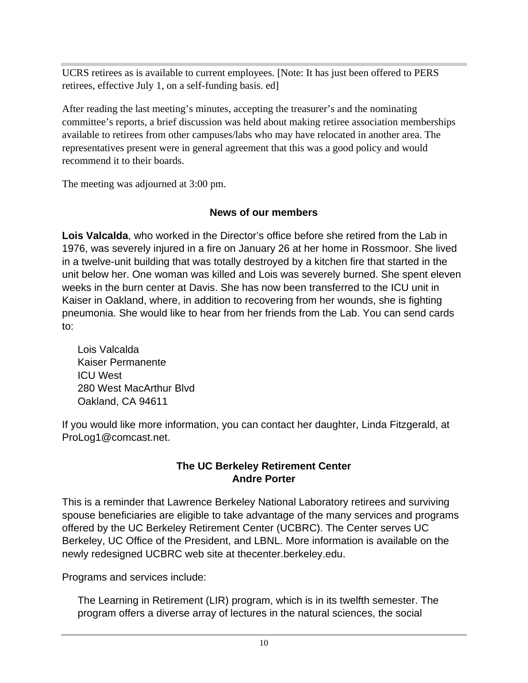UCRS retirees as is available to current employees. [Note: It has just been offered to PERS retirees, effective July 1, on a self-funding basis. ed]

After reading the last meeting's minutes, accepting the treasurer's and the nominating committee's reports, a brief discussion was held about making retiree association memberships available to retirees from other campuses/labs who may have relocated in another area. The representatives present were in general agreement that this was a good policy and would recommend it to their boards.

The meeting was adjourned at 3:00 pm.

## **News of our members**

**Lois Valcalda**, who worked in the Director's office before she retired from the Lab in 1976, was severely injured in a fire on January 26 at her home in Rossmoor. She lived in a twelve-unit building that was totally destroyed by a kitchen fire that started in the unit below her. One woman was killed and Lois was severely burned. She spent eleven weeks in the burn center at Davis. She has now been transferred to the ICU unit in Kaiser in Oakland, where, in addition to recovering from her wounds, she is fighting pneumonia. She would like to hear from her friends from the Lab. You can send cards to:

Lois Valcalda Kaiser Permanente ICU West 280 West MacArthur Blvd Oakland, CA 94611

If you would like more information, you can contact her daughter, Linda Fitzgerald, at ProLog1@comcast.net.

## **The UC Berkeley Retirement Center Andre Porter**

This is a reminder that Lawrence Berkeley National Laboratory retirees and surviving spouse beneficiaries are eligible to take advantage of the many services and programs offered by the UC Berkeley Retirement Center (UCBRC). The Center serves UC Berkeley, UC Office of the President, and LBNL. More information is available on the newly redesigned UCBRC web site at thecenter.berkeley.edu. Programs and services include:

The Learning in Retirement (LIR) program, which is in its twelfth semester. The program offers a diverse array of lectures in the natural sciences, the social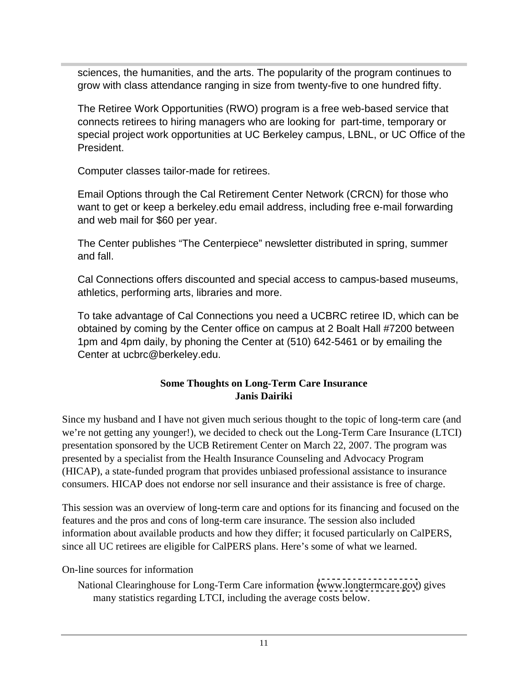sciences, the humanities, and the arts. The popularity of the program continues to grow with class attendance ranging in size from twenty-five to one hundred fifty.

The Retiree Work Opportunities (RWO) program is a free web-based service that connects retirees to hiring managers who are looking for part-time, temporary or special project work opportunities at UC Berkeley campus, LBNL, or UC Office of the President.

Computer classes tailor-made for retirees.

Email Options through the Cal Retirement Center Network (CRCN) for those who want to get or keep a berkeley.edu email address, including free e-mail forwarding and web mail for \$60 per year.

The Center publishes "The Centerpiece" newsletter distributed in spring, summer and fall.

Cal Connections offers discounted and special access to campus-based museums, athletics, performing arts, libraries and more.

To take advantage of Cal Connections you need a UCBRC retiree ID, which can be obtained by coming by the Center office on campus at 2 Boalt Hall #7200 between 1pm and 4pm daily, by phoning the Center at (510) 642-5461 or by emailing the Center at ucbrc@berkeley.edu.

#### **Some Thoughts on Long-Term Care Insurance Janis Dairiki**

Since my husband and I have not given much serious thought to the topic of long-term care (and we're not getting any younger!), we decided to check out the Long-Term Care Insurance (LTCI) presentation sponsored by the UCB Retirement Center on March 22, 2007. The program was presented by a specialist from the Health Insurance Counseling and Advocacy Program (HICAP), a state-funded program that provides unbiased professional assistance to insurance consumers. HICAP does not endorse nor sell insurance and their assistance is free of charge.

This session was an overview of long-term care and options for its financing and focused on the features and the pros and cons of long-term care insurance. The session also included information about available products and how they differ; it focused particularly on CalPERS, since all UC retirees are eligible for CalPERS plans. Here's some of what we learned.

On-line sources for information

National Clearinghouse for Long-Term Care information [\(www.longtermcare.gov](http://www.longtermcare.gov)) gives many statistics regarding LTCI, including the average costs below.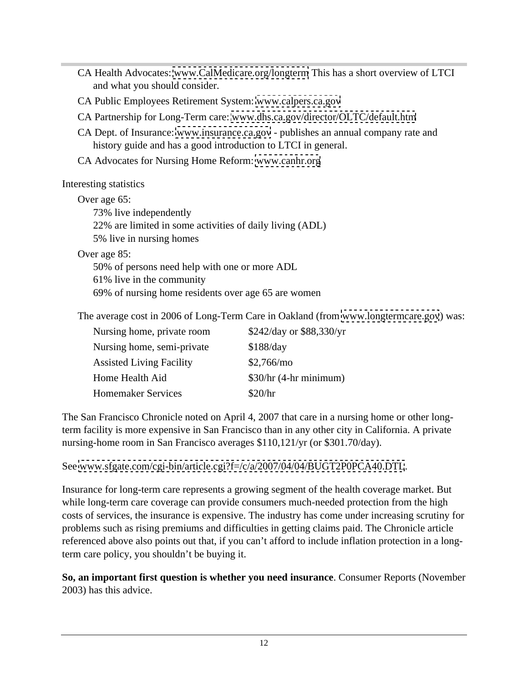CA Health Advocates: [www.CalMedicare.org/longterm](http://www.CalMedicare.org/longterm) This has a short overview of LTCI and what you should consider. CA Public Employees Retirement System: [www.calpers.ca.gov](http://www.calpers.ca.gov) CA Partnership for Long-Term care: [www.dhs.ca.gov/director/OLTC/default.htm](http://www.dhs.ca.gov/director/OLTC/default.htm) CA Dept. of Insurance: [www.insurance.ca.gov](http://www.insurance.ca.gov) - publishes an annual company rate and history guide and has a good introduction to LTCI in general. CA Advocates for Nursing Home Reform: [www.canhr.org](http://www.canhr.org) Interesting statistics **Exercise 2.1** Figure 2.1 **Contract 2.2** Figure 2.1 **Contract 2.2** Figure 2.1 **Contract 2.2** Figure 2.2 Figure 2.2 Figure 2.2 Figure 2.2 Figure 2.2 Figure 2.2 Figure 2.2 Figure 2.2 Figure 2.2 Figure Over age 65: 73% live independently 22% are limited in some activities of daily living (ADL) 5% live in nursing homes Over age 85: 50% of persons need help with one or more ADL 61% live in the community 69% of nursing home residents over age 65 are women The average cost in 2006 of Long-Term Care in Oakland (from [www.longtermcare.gov](http://www.longtermcare.gov)) was: Nursing home, private room  $$242/day$  or \$88,330/yr Nursing home, semi-private \$188/day Assisted Living Facility  $$2,766/mo$ Home Health Aid  $$30/hr$  (4-hr minimum) Homemaker Services \$20/hr

The San Francisco Chronicle noted on April 4, 2007 that care in a nursing home or other longterm facility is more expensive in San Francisco than in any other city in California. A private nursing-home room in San Francisco averages \$110,121/yr (or \$301.70/day).

See [www.sfgate.com/cgi-bin/article.cgi?f=/c/a/2007/04/04/BUGT2P0PCA40.DTL](http://www.sfgate.com/cgi-bin/article.cgi?f=/c/a/2007/04/04/BUGT2P0PCA40.DTL).<br>Insurance for long-term care represents a growing segment of the health coverage market. But while long-term care coverage can provide consumers much-needed protection from the high costs of services, the insurance is expensive. The industry has come under increasing scrutiny for problems such as rising premiums and difficulties in getting claims paid. The Chronicle article referenced above also points out that, if you can't afford to include inflation protection in a longterm care policy, you shouldn't be buying it.

**So, an important first question is whether you need insurance**. Consumer Reports (November 2003) has this advice.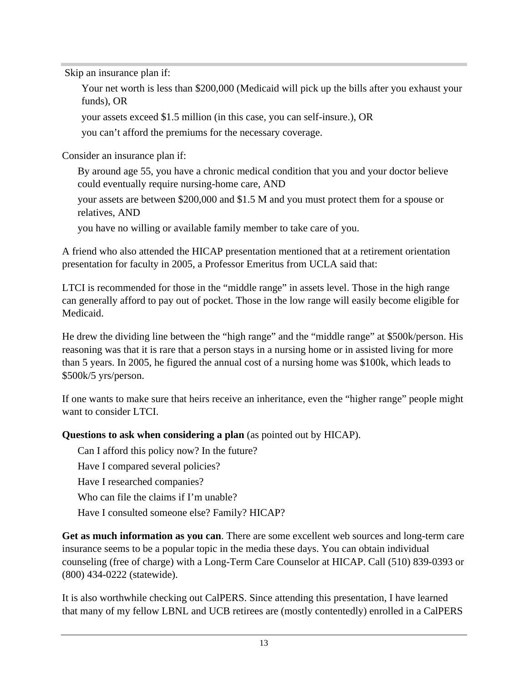Skip an insurance plan if:

Your net worth is less than \$200,000 (Medicaid will pick up the bills after you exhaust your funds), OR

your assets exceed \$1.5 million (in this case, you can self-insure.), OR

you can't afford the premiums for the necessary coverage.

Consider an insurance plan if:

By around age 55, you have a chronic medical condition that you and your doctor believe could eventually require nursing-home care, AND

your assets are between \$200,000 and \$1.5 M and you must protect them for a spouse or relatives, AND

you have no willing or available family member to take care of you.

A friend who also attended the HICAP presentation mentioned that at a retirement orientation presentation for faculty in 2005, a Professor Emeritus from UCLA said that:

LTCI is recommended for those in the "middle range" in assets level. Those in the high range can generally afford to pay out of pocket. Those in the low range will easily become eligible for Medicaid.

He drew the dividing line between the "high range" and the "middle range" at \$500k/person. His reasoning was that it is rare that a person stays in a nursing home or in assisted living for more than 5 years. In 2005, he figured the annual cost of a nursing home was \$100k, which leads to \$500k/5 yrs/person.

If one wants to make sure that heirs receive an inheritance, even the "higher range" people might want to consider LTCI.

**Questions to ask when considering a plan** (as pointed out by HICAP).

Can I afford this policy now? In the future?

Have I compared several policies?

Have I researched companies?

Who can file the claims if I'm unable?

Have I consulted someone else? Family? HICAP?

**Get as much information as you can**. There are some excellent web sources and long-term care insurance seems to be a popular topic in the media these days. You can obtain individual counseling (free of charge) with a Long-Term Care Counselor at HICAP. Call (510) 839-0393 or (800) 434-0222 (statewide).

It is also worthwhile checking out CalPERS. Since attending this presentation, I have learned that many of my fellow LBNL and UCB retirees are (mostly contentedly) enrolled in a CalPERS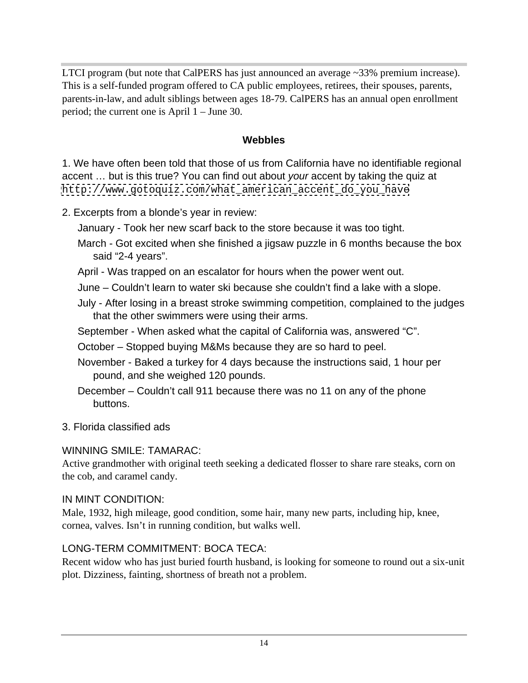LTCI program (but note that CalPERS has just announced an average ~33% premium increase). This is a self-funded program offered to CA public employees, retirees, their spouses, parents, parents-in-law, and adult siblings between ages 18-79. CalPERS has an annual open enrollment period; the current one is April 1 – June 30.

#### **Webbles**

1. We have often been told that those of us from California have no identifiable regional accent … but is this true? You can find out about your accent by taking the quiz at [http://www.gotoquiz.com/what\\_american\\_accent\\_do\\_you\\_have](http://www.gotoquiz.com/what_american_accent_do_you_have)

#### 2. Excerpts from a blonde's year in review:

January - Took her new scarf back to the store because it was too tight.

- March Got excited when she finished a jigsaw puzzle in 6 months because the box said "2-4 years".
- April Was trapped on an escalator for hours when the power went out.
- June Couldn't learn to water ski because she couldn't find a lake with a slope.
- July After losing in a breast stroke swimming competition, complained to the judges that the other swimmers were using their arms.
- September When asked what the capital of California was, answered "C".

October – Stopped buying M&Ms because they are so hard to peel.

- November Baked a turkey for 4 days because the instructions said, 1 hour per pound, and she weighed 120 pounds.
- December Couldn't call 911 because there was no 11 on any of the phone buttons.
- 3. Florida classified ads

#### WINNING SMILE: TAMARAC:

Active grandmother with original teeth seeking a dedicated flosser to share rare steaks, corn on the cob, and caramel candy.

#### IN MINT CONDITION:

Male, 1932, high mileage, good condition, some hair, many new parts, including hip, knee, cornea, valves. Isn't in running condition, but walks well.

#### LONG-TERM COMMITMENT: BOCA TECA:

Recent widow who has just buried fourth husband, is looking for someone to round out a six-unit plot. Dizziness, fainting, shortness of breath not a problem.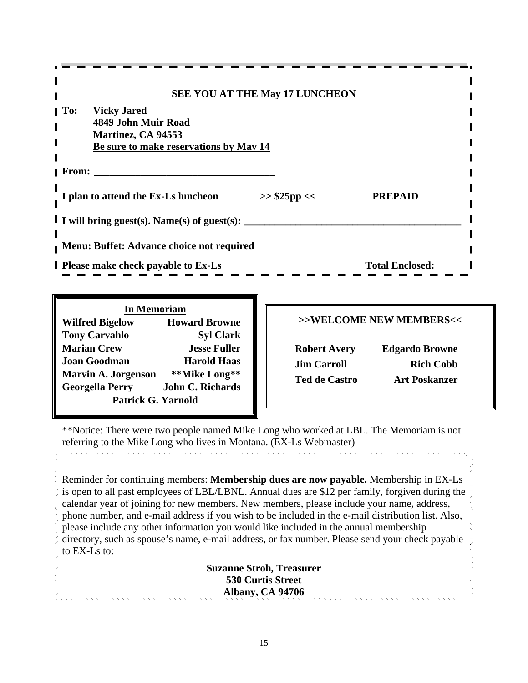| <b>SEE YOU AT THE May 17 LUNCHEON</b>                 |                         |
|-------------------------------------------------------|-------------------------|
| <b>To:</b> Vicky Jared                                |                         |
| 4849 John Muir Road<br><b>Martinez, CA 94553</b>      |                         |
| Be sure to make reservations by May 14                |                         |
| From:                                                 |                         |
| I plan to attend the Ex-Ls luncheon<br>$>>$ \$25pp << | <b>PREPAID</b>          |
| I I will bring guest(s). Name(s) of guest(s):         |                         |
| Menu: Buffet: Advance choice not required             |                         |
| <b>I</b> Please make check payable to Ex-Ls           | <b>Total Enclosed:</b>  |
|                                                       |                         |
| <b>In Memoriam</b>                                    |                         |
| <b>Wilfred Bigelow</b><br><b>Howard Browne</b>        | >>WELCOME NEW MEMBERS<< |
| <b>Tony Carvahlo</b><br><b>Syl Clark</b>              |                         |

**Marian Crew Jesse Fuller Joan Goodman Harold Haas Marvin A. Jorgenson \*\*Mike Long\*\* Georgella Perry John C. Richards** Patrick G. Yarnold **Contract Contract Contract Contract Contract Contract Contract Contract Contract Contract Contract Contract Contract Contract Contract Contract Contract Contract Contract Contract Contract Contract Cont** 

| <b>Robert Avery</b><br><b>Edgardo Browne</b> |
|----------------------------------------------|
| <b>Jim Carroll</b><br><b>Rich Cobb</b>       |
| <b>Ted de Castro</b><br><b>Art Poskanzer</b> |

\*\*Notice: There were two people named Mike Long who worked at LBL. The Memoriam is not referring to the Mike Long who lives in Montana. (EX-Ls Webmaster)

Reminder for continuing members: **Membership dues are now payable.** Membership in EX-Ls is open to all past employees of LBL/LBNL. Annual dues are \$12 per family, forgiven during the calendar year of joining for new members. New members, please include your name, address, phone number, and e-mail address if you wish to be included in the e-mail distribution list. Also, please include any other information you would like included in the annual membership directory, such as spouse's name, e-mail address, or fax number. Please send your check payable to EX-Ls to: to EX-Ls to:  $\blacksquare$ 

> **Suzanne Stroh, Treasurer 530 Curtis Street Albany, CA 94706**